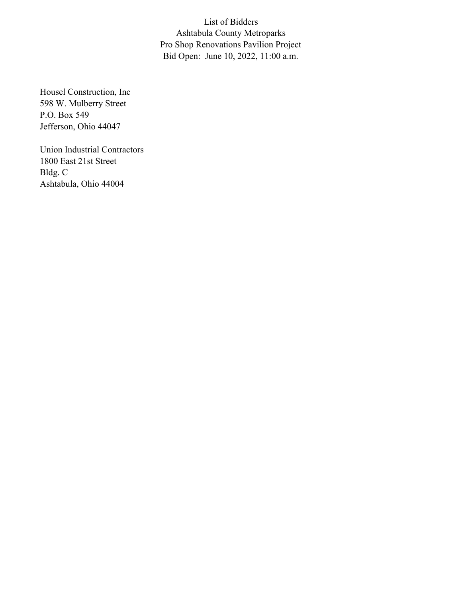List of Bidders Ashtabula County Metroparks Pro Shop Renovations Pavilion Project Bid Open: June 10, 2022, 11:00 a.m.

Housel Construction, Inc 598 W. Mulberry Street P.O. Box 549 Jefferson, Ohio 44047

Union Industrial Contractors 1800 East 21st Street Bldg. C Ashtabula, Ohio 44004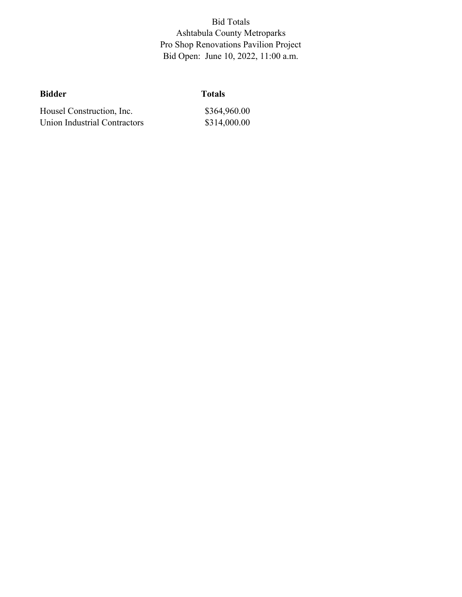Bid Totals Ashtabula County Metroparks Pro Shop Renovations Pavilion Project Bid Open: June 10, 2022, 11:00 a.m.

| <b>Bidder</b>                | <b>Totals</b> |  |  |  |
|------------------------------|---------------|--|--|--|
| Housel Construction, Inc.    | \$364,960.00  |  |  |  |
| Union Industrial Contractors | \$314,000.00  |  |  |  |